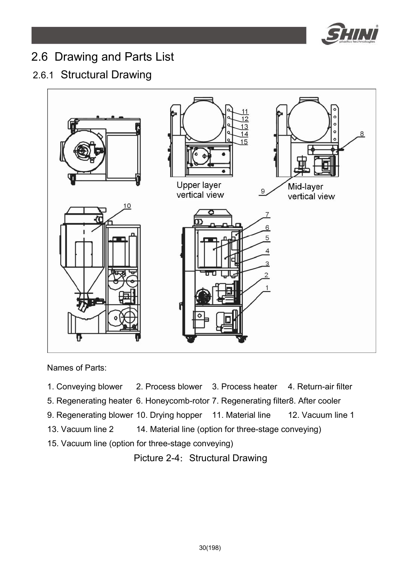

## 2.6 Drawing and Parts List

## 2.6.1 Structural Drawing



Names of Parts:

- 1. Conveying blower 2. Process blower 3. Process heater 4. Return-air filter
- 5. Regenerating heater 6. Honeycomb-rotor 7. Regenerating filter8. After cooler
- 9. Regenerating blower 10. Drying hopper 11. Material line 12. Vacuum line 1
- 13. Vacuum line 2 14. Material line (option for three-stage conveying)
- 15. Vacuum line (option for three-stage conveying)

Picture 2-4: Structural Drawing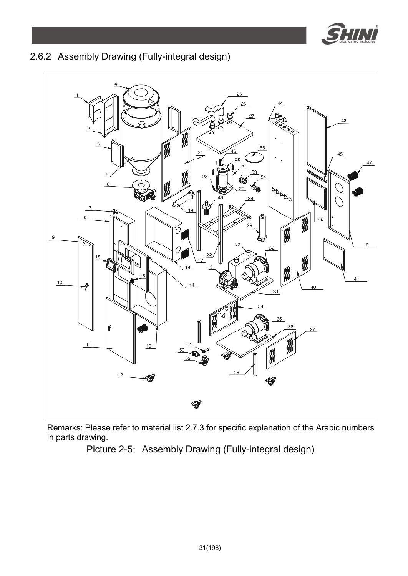

### 2.6.2 Assembly Drawing (Fully-integral design)



Remarks: Please refer to material list 2.7.3 for specific explanation of the Arabic numbers in parts drawing.

Picture 2-5: Assembly Drawing (Fully-integral design)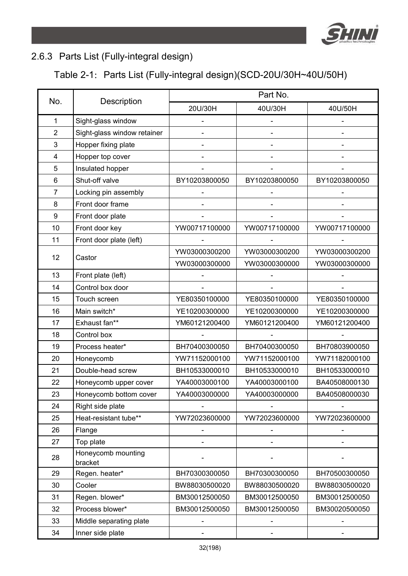

### 2.6.3 Parts List (Fully-integral design)

### Table 2-1: Parts List (Fully-integral design)(SCD-20U/30H~40U/50H)

| No.            | Description                   | Part No.      |                          |               |  |
|----------------|-------------------------------|---------------|--------------------------|---------------|--|
|                |                               | 20U/30H       | 40U/30H                  | 40U/50H       |  |
| $\mathbf{1}$   | Sight-glass window            |               |                          |               |  |
| $\overline{2}$ | Sight-glass window retainer   |               |                          |               |  |
| 3              | Hopper fixing plate           |               | $\overline{\phantom{a}}$ |               |  |
| 4              | Hopper top cover              |               | $\overline{\phantom{a}}$ |               |  |
| 5              | Insulated hopper              |               | $\overline{\phantom{a}}$ |               |  |
| 6              | Shut-off valve                | BY10203800050 | BY10203800050            | BY10203800050 |  |
| 7              | Locking pin assembly          |               |                          |               |  |
| 8              | Front door frame              |               |                          |               |  |
| 9              | Front door plate              |               |                          |               |  |
| 10             | Front door key                | YW00717100000 | YW00717100000            | YW00717100000 |  |
| 11             | Front door plate (left)       |               |                          |               |  |
| 12             | Castor                        | YW03000300200 | YW03000300200            | YW03000300200 |  |
|                |                               | YW03000300000 | YW03000300000            | YW03000300000 |  |
| 13             | Front plate (left)            |               |                          |               |  |
| 14             | Control box door              |               |                          |               |  |
| 15             | Touch screen                  | YE80350100000 | YE80350100000            | YE80350100000 |  |
| 16             | Main switch*                  | YE10200300000 | YE10200300000            | YE10200300000 |  |
| 17             | Exhaust fan**                 | YM60121200400 | YM60121200400            | YM60121200400 |  |
| 18             | Control box                   |               |                          |               |  |
| 19             | Process heater*               | BH70400300050 | BH70400300050            | BH70803900050 |  |
| 20             | Honeycomb                     | YW71152000100 | YW71152000100            | YW71182000100 |  |
| 21             | Double-head screw             | BH10533000010 | BH10533000010            | BH10533000010 |  |
| 22             | Honeycomb upper cover         | YA40003000100 | YA40003000100            | BA40508000130 |  |
| 23             | Honeycomb bottom cover        | YA40003000000 | YA40003000000            | BA40508000030 |  |
| 24             | Right side plate              |               |                          |               |  |
| 25             | Heat-resistant tube**         | YW72023600000 | YW72023600000            | YW72023600000 |  |
| 26             | Flange                        |               |                          |               |  |
| 27             | Top plate                     |               |                          |               |  |
| 28             | Honeycomb mounting<br>bracket |               |                          |               |  |
| 29             | Regen. heater*                | BH70300300050 | BH70300300050            | BH70500300050 |  |
| 30             | Cooler                        | BW88030500020 | BW88030500020            | BW88030500020 |  |
| 31             | Regen. blower*                | BM30012500050 | BM30012500050            | BM30012500050 |  |
| 32             | Process blower*               | BM30012500050 | BM30012500050            | BM30020500050 |  |
| 33             | Middle separating plate       | -             |                          |               |  |
| 34             | Inner side plate              |               |                          |               |  |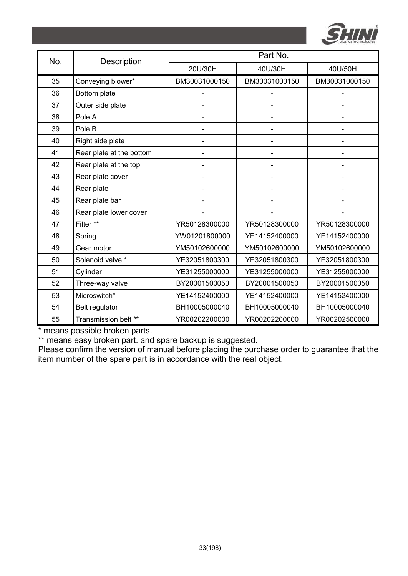

| No. | Description              | Part No.                     |                          |                              |  |
|-----|--------------------------|------------------------------|--------------------------|------------------------------|--|
|     |                          | 20U/30H                      | 40U/30H                  | 40U/50H                      |  |
| 35  | Conveying blower*        | BM30031000150                | BM30031000150            | BM30031000150                |  |
| 36  | Bottom plate             |                              |                          |                              |  |
| 37  | Outer side plate         |                              |                          |                              |  |
| 38  | Pole A                   | ٠                            |                          |                              |  |
| 39  | Pole B                   | $\qquad \qquad \blacksquare$ | $\blacksquare$           |                              |  |
| 40  | Right side plate         | $\qquad \qquad \blacksquare$ |                          |                              |  |
| 41  | Rear plate at the bottom |                              |                          |                              |  |
| 42  | Rear plate at the top    |                              |                          |                              |  |
| 43  | Rear plate cover         | $\qquad \qquad \blacksquare$ | $\overline{\phantom{a}}$ | $\qquad \qquad \blacksquare$ |  |
| 44  | Rear plate               | $\qquad \qquad \blacksquare$ |                          |                              |  |
| 45  | Rear plate bar           |                              |                          |                              |  |
| 46  | Rear plate lower cover   |                              |                          |                              |  |
| 47  | Filter **                | YR50128300000                | YR50128300000            | YR50128300000                |  |
| 48  | Spring                   | YW01201800000                | YE14152400000            | YE14152400000                |  |
| 49  | Gear motor               | YM50102600000                | YM50102600000            | YM50102600000                |  |
| 50  | Solenoid valve *         | YE32051800300                | YE32051800300            | YE32051800300                |  |
| 51  | Cylinder                 | YE31255000000                | YE31255000000            | YE31255000000                |  |
| 52  | Three-way valve          | BY20001500050                | BY20001500050            | BY20001500050                |  |
| 53  | Microswitch*             | YE14152400000                | YE14152400000            | YE14152400000                |  |
| 54  | Belt regulator           | BH10005000040                | BH10005000040            | BH10005000040                |  |
| 55  | Transmission belt **     | YR00202200000                | YR00202200000            | YR00202500000                |  |

\*\* means easy broken part. and spare backup is suggested.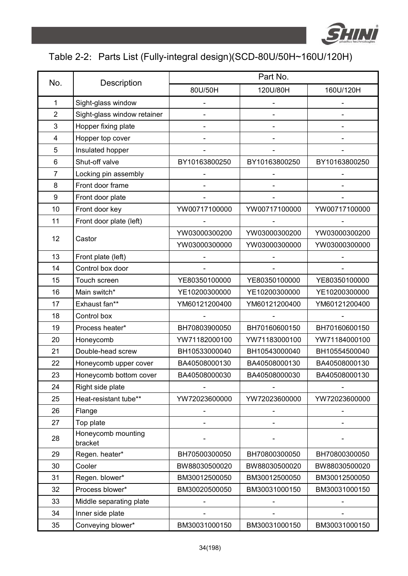

## Table 2-2: Parts List (Fully-integral design)(SCD-80U/50H~160U/120H)

|                |                               | Part No.      |               |               |  |
|----------------|-------------------------------|---------------|---------------|---------------|--|
| No.            | Description                   | 80U/50H       | 120U/80H      | 160U/120H     |  |
| $\mathbf{1}$   | Sight-glass window            |               |               |               |  |
| $\overline{2}$ | Sight-glass window retainer   |               |               |               |  |
| 3              | Hopper fixing plate           |               |               |               |  |
| 4              | Hopper top cover              |               |               |               |  |
| 5              | Insulated hopper              |               |               |               |  |
| 6              | Shut-off valve                | BY10163800250 | BY10163800250 | BY10163800250 |  |
| $\overline{7}$ | Locking pin assembly          |               |               |               |  |
| 8              | Front door frame              |               |               |               |  |
| 9              | Front door plate              |               |               |               |  |
| 10             | Front door key                | YW00717100000 | YW00717100000 | YW00717100000 |  |
| 11             | Front door plate (left)       |               |               |               |  |
| 12             | Castor                        | YW03000300200 | YW03000300200 | YW03000300200 |  |
|                |                               | YW03000300000 | YW03000300000 | YW03000300000 |  |
| 13             | Front plate (left)            |               |               |               |  |
| 14             | Control box door              |               |               |               |  |
| 15             | Touch screen                  | YE80350100000 | YE80350100000 | YE80350100000 |  |
| 16             | Main switch*                  | YE10200300000 | YE10200300000 | YE10200300000 |  |
| 17             | Exhaust fan**                 | YM60121200400 | YM60121200400 | YM60121200400 |  |
| 18             | Control box                   |               |               |               |  |
| 19             | Process heater*               | BH70803900050 | BH70160600150 | BH70160600150 |  |
| 20             | Honeycomb                     | YW71182000100 | YW71183000100 | YW71184000100 |  |
| 21             | Double-head screw             | BH10533000040 | BH10543000040 | BH10554500040 |  |
| 22             | Honeycomb upper cover         | BA40508000130 | BA40508000130 | BA40508000130 |  |
| 23             | Honeycomb bottom cover        | BA40508000030 | BA40508000030 | BA40508000130 |  |
| 24             | Right side plate              |               |               |               |  |
| 25             | Heat-resistant tube**         | YW72023600000 | YW72023600000 | YW72023600000 |  |
| 26             | Flange                        |               |               |               |  |
| 27             | Top plate                     |               |               |               |  |
| 28             | Honeycomb mounting<br>bracket |               |               |               |  |
| 29             | Regen. heater*                | BH70500300050 | BH70800300050 | BH70800300050 |  |
| 30             | Cooler                        | BW88030500020 | BW88030500020 | BW88030500020 |  |
| 31             | Regen. blower*                | BM30012500050 | BM30012500050 | BM30012500050 |  |
| 32             | Process blower*               | BM30020500050 | BM30031000150 | BM30031000150 |  |
| 33             | Middle separating plate       |               |               |               |  |
| 34             | Inner side plate              |               |               |               |  |
| 35             | Conveying blower*             | BM30031000150 | BM30031000150 | BM30031000150 |  |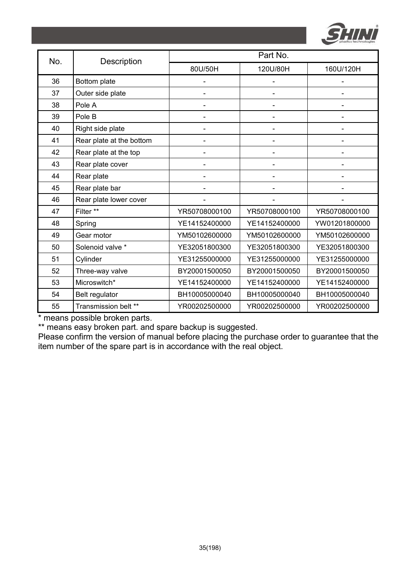

| No. | Description              | Part No.       |                              |               |  |
|-----|--------------------------|----------------|------------------------------|---------------|--|
|     |                          | 80U/50H        | 120U/80H                     | 160U/120H     |  |
| 36  | Bottom plate             |                |                              |               |  |
| 37  | Outer side plate         | $\overline{a}$ | $\qquad \qquad \blacksquare$ |               |  |
| 38  | Pole A                   |                |                              |               |  |
| 39  | Pole B                   |                |                              |               |  |
| 40  | Right side plate         | -              | $\overline{\phantom{0}}$     |               |  |
| 41  | Rear plate at the bottom |                |                              |               |  |
| 42  | Rear plate at the top    |                |                              |               |  |
| 43  | Rear plate cover         |                |                              |               |  |
| 44  | Rear plate               |                |                              |               |  |
| 45  | Rear plate bar           |                |                              |               |  |
| 46  | Rear plate lower cover   |                |                              |               |  |
| 47  | Filter **                | YR50708000100  | YR50708000100                | YR50708000100 |  |
| 48  | Spring                   | YE14152400000  | YE14152400000                | YW01201800000 |  |
| 49  | Gear motor               | YM50102600000  | YM50102600000                | YM50102600000 |  |
| 50  | Solenoid valve *         | YE32051800300  | YE32051800300                | YE32051800300 |  |
| 51  | Cylinder                 | YE31255000000  | YE31255000000                | YE31255000000 |  |
| 52  | Three-way valve          | BY20001500050  | BY20001500050                | BY20001500050 |  |
| 53  | Microswitch*             | YE14152400000  | YE14152400000                | YE14152400000 |  |
| 54  | Belt regulator           | BH10005000040  | BH10005000040                | BH10005000040 |  |
| 55  | Transmission belt **     | YR00202500000  | YR00202500000                | YR00202500000 |  |

\*\* means easy broken part. and spare backup is suggested.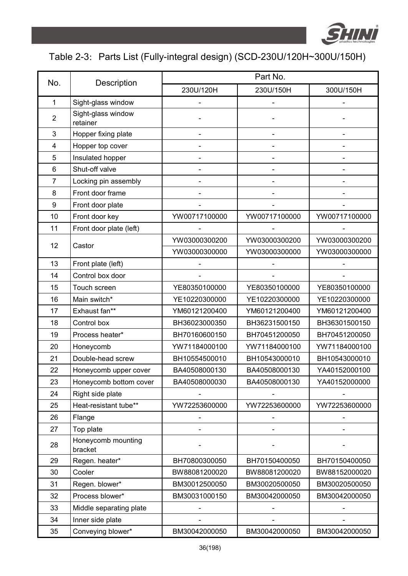

## Table 2-3: Parts List (Fully-integral design) (SCD-230U/120H~300U/150H)

| No.              |                                | Part No.      |                          |                              |  |
|------------------|--------------------------------|---------------|--------------------------|------------------------------|--|
|                  | Description                    | 230U/120H     | 230U/150H                | 300U/150H                    |  |
| $\mathbf{1}$     | Sight-glass window             |               |                          |                              |  |
| $\overline{2}$   | Sight-glass window<br>retainer |               |                          |                              |  |
| 3                | Hopper fixing plate            |               |                          |                              |  |
| 4                | Hopper top cover               |               |                          |                              |  |
| 5                | Insulated hopper               |               |                          |                              |  |
| 6                | Shut-off valve                 |               | $\overline{\phantom{a}}$ |                              |  |
| $\overline{7}$   | Locking pin assembly           |               |                          |                              |  |
| 8                | Front door frame               |               |                          |                              |  |
| $\boldsymbol{9}$ | Front door plate               |               |                          |                              |  |
| 10               | Front door key                 | YW00717100000 | YW00717100000            | YW00717100000                |  |
| 11               | Front door plate (left)        |               |                          |                              |  |
| 12               | Castor                         | YW03000300200 | YW03000300200            | YW03000300200                |  |
|                  |                                | YW03000300000 | YW03000300000            | YW03000300000                |  |
| 13               | Front plate (left)             |               |                          |                              |  |
| 14               | Control box door               |               |                          |                              |  |
| 15               | Touch screen                   | YE80350100000 | YE80350100000            | YE80350100000                |  |
| 16               | Main switch*                   | YE10220300000 | YE10220300000            | YE10220300000                |  |
| 17               | Exhaust fan**                  | YM60121200400 | YM60121200400            | YM60121200400                |  |
| 18               | Control box                    | BH36023000350 | BH36231500150            | BH36301500150                |  |
| 19               | Process heater*                | BH70160600150 | BH70451200050            | BH70451200050                |  |
| 20               | Honeycomb                      | YW71184000100 | YW71184000100            | YW71184000100                |  |
| 21               | Double-head screw              | BH10554500010 | BH10543000010            | BH10543000010                |  |
| 22               | Honeycomb upper cover          | BA40508000130 | BA40508000130            | YA40152000100                |  |
| 23               | Honeycomb bottom cover         | BA40508000030 | BA40508000130            | YA40152000000                |  |
| 24               | Right side plate               |               |                          |                              |  |
| 25               | Heat-resistant tube**          | YW72253600000 | YW72253600000            | YW72253600000                |  |
| 26               | Flange                         |               |                          | $\qquad \qquad \blacksquare$ |  |
| 27               | Top plate                      |               |                          |                              |  |
| 28               | Honeycomb mounting<br>bracket  |               |                          |                              |  |
| 29               | Regen. heater*                 | BH70800300050 | BH70150400050            | BH70150400050                |  |
| 30               | Cooler                         | BW88081200020 | BW88081200020            | BW88152000020                |  |
| 31               | Regen. blower*                 | BM30012500050 | BM30020500050            | BM30020500050                |  |
| 32               | Process blower*                | BM30031000150 | BM30042000050            | BM30042000050                |  |
| 33               | Middle separating plate        |               |                          |                              |  |
| 34               | Inner side plate               |               |                          |                              |  |
| 35               | Conveying blower*              | BM30042000050 | BM30042000050            | BM30042000050                |  |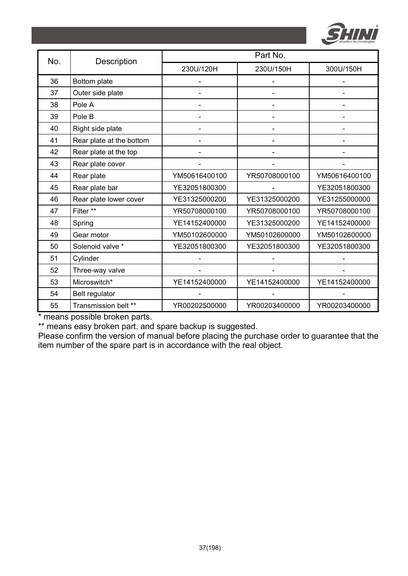

| No. | Description              | Part No.       |               |               |  |
|-----|--------------------------|----------------|---------------|---------------|--|
|     |                          | 230U/120H      | 230U/150H     | 300U/150H     |  |
| 36  | Bottom plate             |                |               |               |  |
| 37  | Outer side plate         |                |               |               |  |
| 38  | Pole A                   |                |               |               |  |
| 39  | Pole B                   |                |               |               |  |
| 40  | Right side plate         | $\overline{a}$ |               |               |  |
| 41  | Rear plate at the bottom |                |               |               |  |
| 42  | Rear plate at the top    |                |               |               |  |
| 43  | Rear plate cover         |                |               |               |  |
| 44  | Rear plate               | YM50616400100  | YR50708000100 | YM50616400100 |  |
| 45  | Rear plate bar           | YE32051800300  |               | YE32051800300 |  |
| 46  | Rear plate lower cover   | YE31325000200  | YE31325000200 | YE31255000000 |  |
| 47  | Filter **                | YR50708000100  | YR50708000100 | YR50708000100 |  |
| 48  | Spring                   | YE14152400000  | YE31325000200 | YE14152400000 |  |
| 49  | Gear motor               | YM50102600000  | YM50102600000 | YM50102600000 |  |
| 50  | Solenoid valve *         | YE32051800300  | YE32051800300 | YE32051800300 |  |
| 51  | Cylinder                 |                |               |               |  |
| 52  | Three-way valve          |                |               |               |  |
| 53  | Microswitch*             | YE14152400000  | YE14152400000 | YE14152400000 |  |
| 54  | Belt regulator           |                |               |               |  |
| 55  | Transmission belt **     | YR00202500000  | YR00203400000 | YR00203400000 |  |

\*\* means easy broken part. and spare backup is suggested.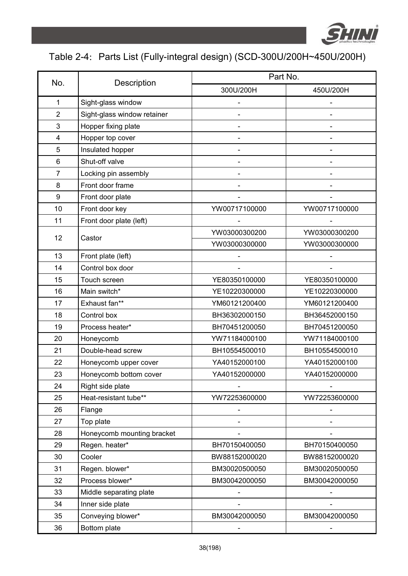

# Table 2-4: Parts List (Fully-integral design) (SCD-300U/200H~450U/200H)

|                |                             | Part No.                     |                              |  |
|----------------|-----------------------------|------------------------------|------------------------------|--|
| No.            | Description                 | 300U/200H                    | 450U/200H                    |  |
| 1              | Sight-glass window          |                              |                              |  |
| 2              | Sight-glass window retainer |                              |                              |  |
| 3              | Hopper fixing plate         |                              |                              |  |
| $\overline{4}$ | Hopper top cover            |                              |                              |  |
| 5              | Insulated hopper            |                              |                              |  |
| 6              | Shut-off valve              |                              |                              |  |
| 7              | Locking pin assembly        |                              |                              |  |
| 8              | Front door frame            |                              |                              |  |
| 9              | Front door plate            |                              |                              |  |
| 10             | Front door key              | YW00717100000                | YW00717100000                |  |
| 11             | Front door plate (left)     |                              |                              |  |
|                |                             | YW03000300200                | YW03000300200                |  |
| 12             | Castor                      | YW03000300000                | YW03000300000                |  |
| 13             | Front plate (left)          |                              |                              |  |
| 14             | Control box door            |                              |                              |  |
| 15             | Touch screen                | YE80350100000                | YE80350100000                |  |
| 16             | Main switch*                | YE10220300000                | YE10220300000                |  |
| 17             | Exhaust fan**               | YM60121200400                | YM60121200400                |  |
| 18             | Control box                 | BH36302000150                | BH36452000150                |  |
| 19             | Process heater*             | BH70451200050                | BH70451200050                |  |
| 20             | Honeycomb                   | YW71184000100                | YW71184000100                |  |
| 21             | Double-head screw           | BH10554500010                | BH10554500010                |  |
| 22             | Honeycomb upper cover       | YA40152000100                | YA40152000100                |  |
| 23             | Honeycomb bottom cover      | YA40152000000                | YA40152000000                |  |
| 24             | Right side plate            |                              |                              |  |
| 25             | Heat-resistant tube**       | YW72253600000                | YW72253600000                |  |
| 26             | Flange                      |                              |                              |  |
| 27             | Top plate                   |                              |                              |  |
| 28             | Honeycomb mounting bracket  |                              |                              |  |
| 29             | Regen. heater*              | BH70150400050                | BH70150400050                |  |
| 30             | Cooler                      | BW88152000020                | BW88152000020                |  |
| 31             | Regen. blower*              | BM30020500050                | BM30020500050                |  |
| 32             | Process blower*             | BM30042000050                | BM30042000050                |  |
| 33             | Middle separating plate     |                              |                              |  |
| 34             | Inner side plate            |                              |                              |  |
| 35             | Conveying blower*           | BM30042000050                | BM30042000050                |  |
| 36             | Bottom plate                | $\qquad \qquad \blacksquare$ | $\qquad \qquad \blacksquare$ |  |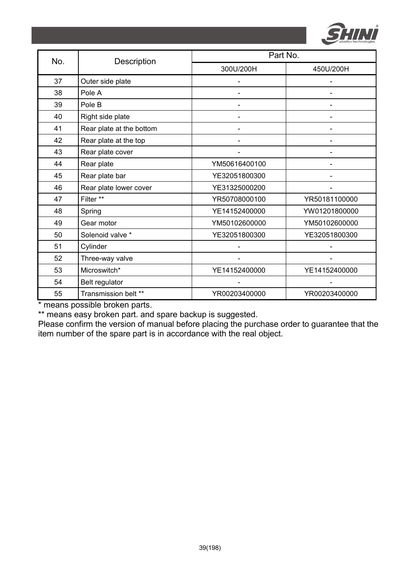

| No. | Description              | Part No.      |               |  |
|-----|--------------------------|---------------|---------------|--|
|     |                          | 300U/200H     | 450U/200H     |  |
| 37  | Outer side plate         |               |               |  |
| 38  | Pole A                   |               |               |  |
| 39  | Pole B                   |               |               |  |
| 40  | Right side plate         |               |               |  |
| 41  | Rear plate at the bottom |               |               |  |
| 42  | Rear plate at the top    |               |               |  |
| 43  | Rear plate cover         |               |               |  |
| 44  | Rear plate               | YM50616400100 |               |  |
| 45  | Rear plate bar           | YE32051800300 |               |  |
| 46  | Rear plate lower cover   | YE31325000200 |               |  |
| 47  | Filter **                | YR50708000100 | YR50181100000 |  |
| 48  | Spring                   | YE14152400000 | YW01201800000 |  |
| 49  | Gear motor               | YM50102600000 | YM50102600000 |  |
| 50  | Solenoid valve *         | YE32051800300 | YE32051800300 |  |
| 51  | Cylinder                 |               |               |  |
| 52  | Three-way valve          |               |               |  |
| 53  | Microswitch*             | YE14152400000 | YE14152400000 |  |
| 54  | Belt regulator           |               |               |  |
| 55  | Transmission belt **     | YR00203400000 | YR00203400000 |  |

\*\* means easy broken part. and spare backup is suggested.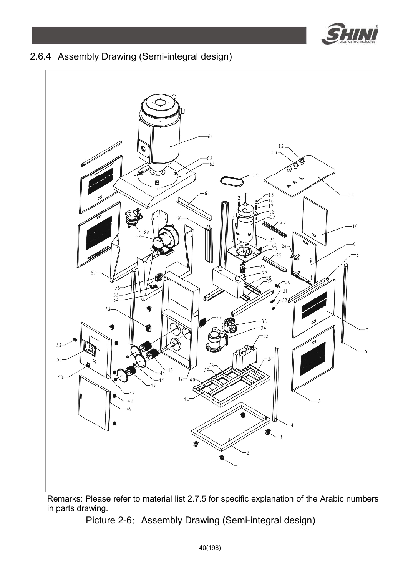

### 2.6.4 Assembly Drawing (Semi-integral design)



Remarks: Please refer to material list 2.7.5 for specific explanation of the Arabic numbers in parts drawing.

Picture 2-6: Assembly Drawing (Semi-integral design)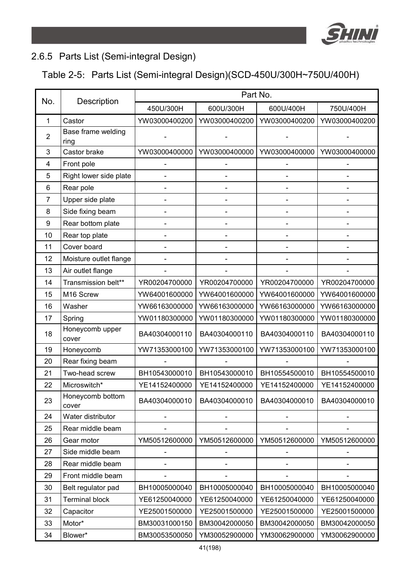

#### 2.6.5 Parts List (Semi-integral Design)

### Table 2-5: Parts List (Semi-integral Design)(SCD-450U/300H~750U/400H)

| No.          | Description                | Part No.      |                          |               |               |
|--------------|----------------------------|---------------|--------------------------|---------------|---------------|
|              |                            | 450U/300H     | 600U/300H                | 600U/400H     | 750U/400H     |
| $\mathbf{1}$ | Castor                     | YW03000400200 | YW03000400200            | YW03000400200 | YW03000400200 |
| 2            | Base frame welding<br>ring |               |                          |               |               |
| 3            | Castor brake               | YW03000400000 | YW03000400000            | YW03000400000 | YW03000400000 |
| 4            | Front pole                 |               |                          |               |               |
| 5            | Right lower side plate     |               | $\overline{\phantom{m}}$ |               |               |
| 6            | Rear pole                  |               |                          |               |               |
| 7            | Upper side plate           |               | $\overline{\phantom{a}}$ |               |               |
| 8            | Side fixing beam           |               |                          |               |               |
| 9            | Rear bottom plate          |               | $\overline{\phantom{m}}$ |               |               |
| 10           | Rear top plate             |               |                          |               |               |
| 11           | Cover board                |               |                          |               |               |
| 12           | Moisture outlet flange     |               |                          |               |               |
| 13           | Air outlet flange          |               |                          |               |               |
| 14           | Transmission belt**        | YR00204700000 | YR00204700000            | YR00204700000 | YR00204700000 |
| 15           | M16 Screw                  | YW64001600000 | YW64001600000            | YW64001600000 | YW64001600000 |
| 16           | Washer                     | YW66163000000 | YW66163000000            | YW66163000000 | YW66163000000 |
| 17           | Spring                     | YW01180300000 | YW01180300000            | YW01180300000 | YW01180300000 |
| 18           | Honeycomb upper<br>cover   | BA40304000110 | BA40304000110            | BA40304000110 | BA40304000110 |
| 19           | Honeycomb                  | YW71353000100 | YW71353000100            | YW71353000100 | YW71353000100 |
| 20           | Rear fixing beam           |               |                          |               |               |
| 21           | Two-head screw             | BH10543000010 | BH10543000010            | BH10554500010 | BH10554500010 |
| 22           | Microswitch*               | YE14152400000 | YE14152400000            | YE14152400000 | YE14152400000 |
| 23           | Honeycomb bottom<br>cover  | BA40304000010 | BA40304000010            | BA40304000010 | BA40304000010 |
| 24           | Water distributor          |               |                          |               |               |
| 25           | Rear middle beam           |               |                          |               |               |
| 26           | Gear motor                 | YM50512600000 | YM50512600000            | YM50512600000 | YM50512600000 |
| 27           | Side middle beam           |               |                          |               |               |
| 28           | Rear middle beam           |               |                          |               |               |
| 29           | Front middle beam          |               |                          |               |               |
| 30           | Belt regulator pad         | BH10005000040 | BH10005000040            | BH10005000040 | BH10005000040 |
| 31           | <b>Terminal block</b>      | YE61250040000 | YE61250040000            | YE61250040000 | YE61250040000 |
| 32           | Capacitor                  | YE25001500000 | YE25001500000            | YE25001500000 | YE25001500000 |
| 33           | Motor*                     | BM30031000150 | BM30042000050            | BM30042000050 | BM30042000050 |
| 34           | Blower*                    | BM30053500050 | YM30052900000            | YM30062900000 | YM30062900000 |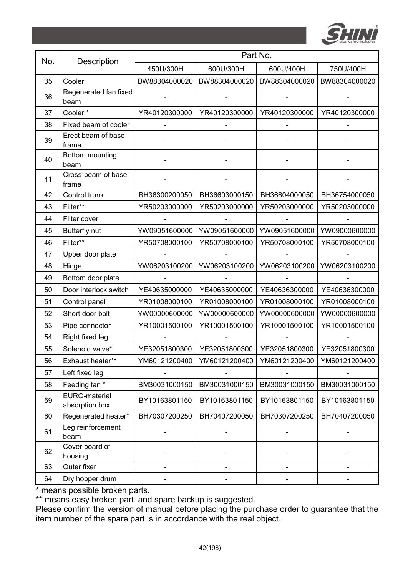

| No. | Description                     | Part No.      |               |               |               |
|-----|---------------------------------|---------------|---------------|---------------|---------------|
|     |                                 | 450U/300H     | 600U/300H     | 600U/400H     | 750U/400H     |
| 35  | Cooler                          | BW88304000020 | BW88304000020 | BW88304000020 | BW88304000020 |
| 36  | Regenerated fan fixed<br>beam   |               |               |               |               |
| 37  | Cooler*                         | YR40120300000 | YR40120300000 | YR40120300000 | YR40120300000 |
| 38  | Fixed beam of cooler            |               |               |               |               |
| 39  | Erect beam of base<br>frame     |               |               |               |               |
| 40  | Bottom mounting<br>beam         |               |               |               |               |
| 41  | Cross-beam of base<br>frame     |               |               |               |               |
| 42  | Control trunk                   | BH36300200050 | BH36603000150 | BH36604000050 | BH36754000050 |
| 43  | Filter**                        | YR50203000000 | YR50203000000 | YR50203000000 | YR50203000000 |
| 44  | Filter cover                    |               |               |               |               |
| 45  | Butterfly nut                   | YW09051600000 | YW09051600000 | YW09051600000 | YW09000600000 |
| 46  | Filter**                        | YR50708000100 | YR50708000100 | YR50708000100 | YR50708000100 |
| 47  | Upper door plate                |               |               |               |               |
| 48  | Hinge                           | YW06203100200 | YW06203100200 | YW06203100200 | YW06203100200 |
| 49  | Bottom door plate               |               |               |               |               |
| 50  | Door interlock switch           | YE40635000000 | YE40635000000 | YE40636300000 | YE40636300000 |
| 51  | Control panel                   | YR01008000100 | YR01008000100 | YR01008000100 | YR01008000100 |
| 52  | Short door bolt                 | YW00000600000 | YW00000600000 | YW00000600000 | YW00000600000 |
| 53  | Pipe connector                  | YR10001500100 | YR10001500100 | YR10001500100 | YR10001500100 |
| 54  | Right fixed leg                 |               |               |               |               |
| 55  | Solenoid valve*                 | YE32051800300 | YE32051800300 | YE32051800300 | YE32051800300 |
| 56  | Exhaust heater**                | YM60121200400 | YM60121200400 | YM60121200400 | YM60121200400 |
| 57  | Left fixed leg                  |               |               |               |               |
| 58  | Feeding fan *                   | BM30031000150 | BM30031000150 | BM30031000150 | BM30031000150 |
| 59  | EURO-material<br>absorption box | BY10163801150 | BY10163801150 | BY10163801150 | BY10163801150 |
| 60  | Regenerated heater*             | BH70307200250 | BH70407200050 | BH70307200250 | BH70407200050 |
| 61  | Leg reinforcement<br>beam       |               |               |               |               |
| 62  | Cover board of<br>housing       |               |               |               |               |
| 63  | Outer fixer                     |               |               |               |               |
| 64  | Dry hopper drum                 |               |               |               |               |

\*\* means easy broken part. and spare backup is suggested.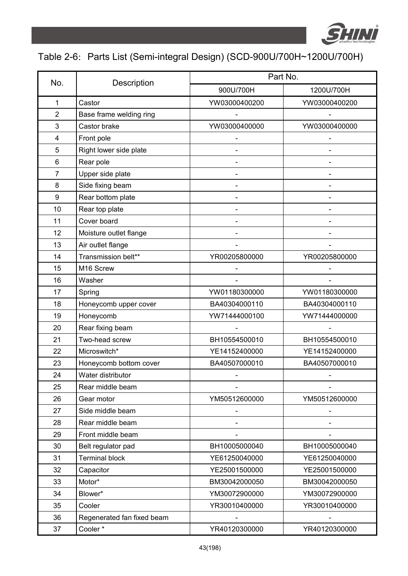

## Table 2-6: Parts List (Semi-integral Design) (SCD-900U/700H~1200U/700H)

| No.            |                            | Part No.      |               |  |  |
|----------------|----------------------------|---------------|---------------|--|--|
|                | Description                | 900U/700H     | 1200U/700H    |  |  |
| 1              | Castor                     | YW03000400200 | YW03000400200 |  |  |
| $\overline{2}$ | Base frame welding ring    |               |               |  |  |
| 3              | Castor brake               | YW03000400000 | YW03000400000 |  |  |
| 4              | Front pole                 |               |               |  |  |
| 5              | Right lower side plate     |               |               |  |  |
| 6              | Rear pole                  |               |               |  |  |
| 7              | Upper side plate           |               |               |  |  |
| 8              | Side fixing beam           |               |               |  |  |
| 9              | Rear bottom plate          |               |               |  |  |
| 10             | Rear top plate             |               |               |  |  |
| 11             | Cover board                |               |               |  |  |
| 12             | Moisture outlet flange     |               |               |  |  |
| 13             | Air outlet flange          |               |               |  |  |
| 14             | Transmission belt**        | YR00205800000 | YR00205800000 |  |  |
| 15             | M16 Screw                  |               |               |  |  |
| 16             | Washer                     |               |               |  |  |
| 17             | Spring                     | YW01180300000 | YW01180300000 |  |  |
| 18             | Honeycomb upper cover      | BA40304000110 | BA40304000110 |  |  |
| 19             | Honeycomb                  | YW71444000100 | YW71444000000 |  |  |
| 20             | Rear fixing beam           |               |               |  |  |
| 21             | Two-head screw             | BH10554500010 | BH10554500010 |  |  |
| 22             | Microswitch*               | YE14152400000 | YE14152400000 |  |  |
| 23             | Honeycomb bottom cover     | BA40507000010 | BA40507000010 |  |  |
| 24             | Water distributor          |               |               |  |  |
| 25             | Rear middle beam           |               |               |  |  |
| 26             | Gear motor                 | YM50512600000 | YM50512600000 |  |  |
| 27             | Side middle beam           |               |               |  |  |
| 28             | Rear middle beam           |               |               |  |  |
| 29             | Front middle beam          |               |               |  |  |
| 30             | Belt regulator pad         | BH10005000040 | BH10005000040 |  |  |
| 31             | <b>Terminal block</b>      | YE61250040000 | YE61250040000 |  |  |
| 32             | Capacitor                  | YE25001500000 | YE25001500000 |  |  |
| 33             | Motor*                     | BM30042000050 | BM30042000050 |  |  |
| 34             | Blower*                    | YM30072900000 | YM30072900000 |  |  |
| 35             | Cooler                     | YR30010400000 | YR30010400000 |  |  |
| 36             | Regenerated fan fixed beam |               |               |  |  |
| 37             | Cooler*                    | YR40120300000 | YR40120300000 |  |  |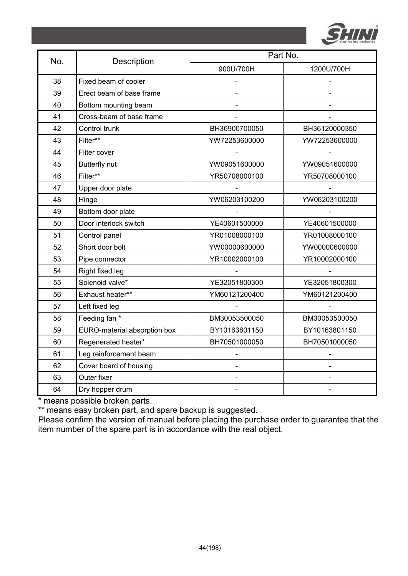

| No. | Description                  | Part No.      |               |  |  |
|-----|------------------------------|---------------|---------------|--|--|
|     |                              | 900U/700H     | 1200U/700H    |  |  |
| 38  | Fixed beam of cooler         |               |               |  |  |
| 39  | Erect beam of base frame     |               |               |  |  |
| 40  | Bottom mounting beam         |               |               |  |  |
| 41  | Cross-beam of base frame     |               |               |  |  |
| 42  | Control trunk                | BH36900700050 | BH36120000350 |  |  |
| 43  | Filter**                     | YW72253600000 | YW72253600000 |  |  |
| 44  | Filter cover                 |               |               |  |  |
| 45  | Butterfly nut                | YW09051600000 | YW09051600000 |  |  |
| 46  | Filter**                     | YR50708000100 | YR50708000100 |  |  |
| 47  | Upper door plate             |               |               |  |  |
| 48  | Hinge                        | YW06203100200 | YW06203100200 |  |  |
| 49  | Bottom door plate            |               |               |  |  |
| 50  | Door interlock switch        | YE40601500000 | YE40601500000 |  |  |
| 51  | Control panel                | YR01008000100 | YR01008000100 |  |  |
| 52  | Short door bolt              | YW00000600000 | YW00000600000 |  |  |
| 53  | Pipe connector               | YR10002000100 | YR10002000100 |  |  |
| 54  | Right fixed leg              |               |               |  |  |
| 55  | Solenoid valve*              | YE32051800300 | YE32051800300 |  |  |
| 56  | Exhaust heater**             | YM60121200400 | YM60121200400 |  |  |
| 57  | Left fixed leg               |               |               |  |  |
| 58  | Feeding fan *                | BM30053500050 | BM30053500050 |  |  |
| 59  | EURO-material absorption box | BY10163801150 | BY10163801150 |  |  |
| 60  | Regenerated heater*          | BH70501000050 | BH70501000050 |  |  |
| 61  | Leg reinforcement beam       |               |               |  |  |
| 62  | Cover board of housing       |               |               |  |  |
| 63  | Outer fixer                  |               |               |  |  |
| 64  | Dry hopper drum              |               |               |  |  |

\*\* means easy broken part. and spare backup is suggested.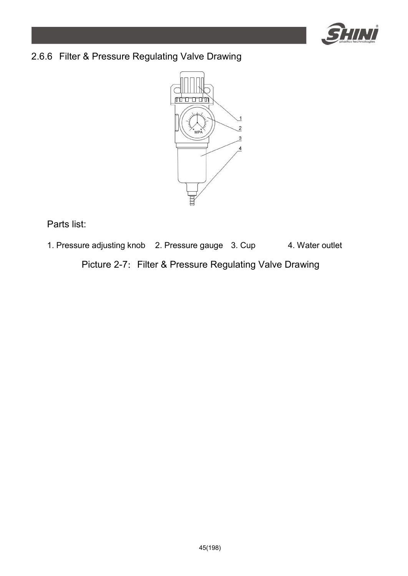

### 2.6.6 Filter & Pressure Regulating Valve Drawing



Parts list:

1. Pressure adjusting knob 2. Pressure gauge 3. Cup 4. Water outlet

Picture 2-7: Filter & Pressure Regulating Valve Drawing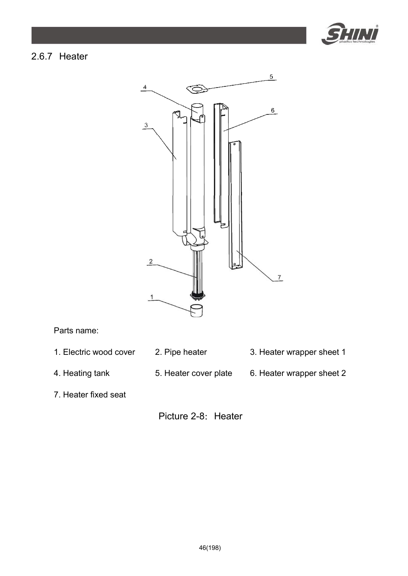

#### 2.6.7 Heater



Parts name:

- 1. Electric wood cover 2. Pipe heater 3. Heater wrapper sheet 1
- 
- 
- 4. Heating tank 5. Heater cover plate 6. Heater wrapper sheet 2
- 

7. Heater fixed seat

Picture 2-8: Heater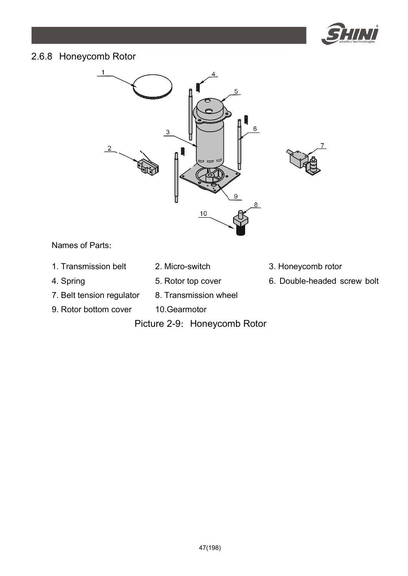

#### 2.6.8 Honeycomb Rotor



Names of Parts:

- 1. Transmission belt 2. Micro-switch 3. Honeycomb rotor
- 
- 
- 
- 7. Belt tension regulator 8. Transmission wheel
- 9. Rotor bottom cover 10.Gearmotor
	- Picture 2-9: Honeycomb Rotor
- 
- 4. Spring 6. Rotor top cover 6. Double-headed screw bolt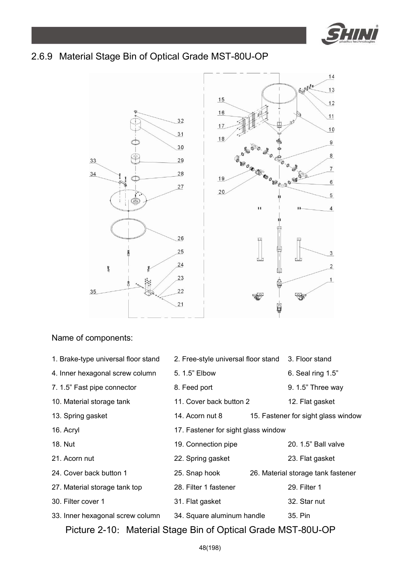

#### 2.6.9 Material Stage Bin of Optical Grade MST-80U-OP



#### Name of components:

| 1. Brake-type universal floor stand | 2. Free-style universal floor stand 3. Floor stand |                                     |
|-------------------------------------|----------------------------------------------------|-------------------------------------|
| 4. Inner hexagonal screw column     | 5. 1.5" Elbow                                      | 6. Seal ring $1.5$ "                |
| 7. 1.5" Fast pipe connector         | 8. Feed port                                       | $9.1.5"$ Three way                  |
| 10. Material storage tank           | 11. Cover back button 2                            | 12. Flat gasket                     |
| 13. Spring gasket                   | 14. Acorn nut 8                                    | 15. Fastener for sight glass window |
| 16. Acryl                           | 17. Fastener for sight glass window                |                                     |
| 18. Nut                             | 19. Connection pipe                                | 20, 1.5" Ball valve                 |
| 21. Acorn nut                       | 22. Spring gasket                                  | 23. Flat gasket                     |
| 24. Cover back button 1             | 25. Snap hook                                      | 26. Material storage tank fastener  |
| 27. Material storage tank top       | 28. Filter 1 fastener                              | 29. Filter 1                        |
| 30. Filter cover 1                  | 31. Flat gasket                                    | 32. Star nut                        |
| 33. Inner hexagonal screw column    | 34. Square aluminum handle                         | 35. Pin                             |
|                                     |                                                    |                                     |

Picture 2-10: Material Stage Bin of Optical Grade MST-80U-OP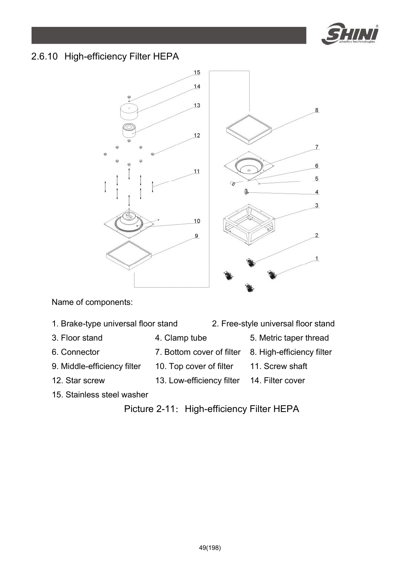

#### 2.6.10 High-efficiency Filter HEPA



Name of components:

- 1. Brake-type universal floor stand 2. Free-style universal floor stand
- 
- 3. Floor stand 4. Clamp tube 5. Metric taper thread
- 6. Connector 7. Bottom cover of filter 8. High-efficiency filter
- 9. Middle-efficiency filter 10. Top cover of filter 11. Screw shaft
- 
- 12. Star screw 13. Low-efficiency filter 14. Filter cover
- 

15. Stainless steel washer

Picture 2-11: High-efficiency Filter HEPA